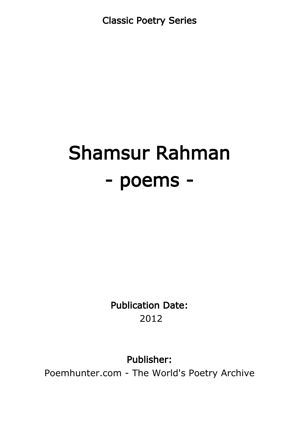Classic Poetry Series

# Shamsur Rahman - poems -

Publication Date: 2012

Publisher:

Poemhunter.com - The World's Poetry Archive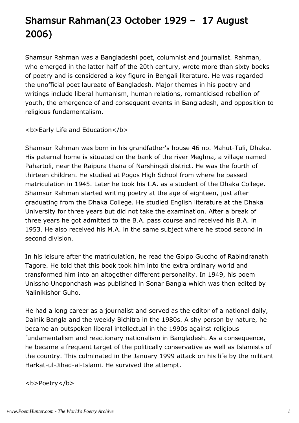# Shamsur Rahman(23 October 1929 – 17 August 2006)

Shamsur Rahman was a Bangladeshi poet, columnist and journalist. Rahman, who emerged in the latter half of the 20th century, wrote more than sixty books of poetry and is considered a key figure in Bengali literature. He was regarded the unofficial poet laureate of Bangladesh. Major themes in his poetry and writings include liberal humanism, human relations, romanticised rebellion of youth, the emergence of and consequent events in Bangladesh, and opposition to religious fundamentalism.

<b>Early Life and Education</b>

Shamsur Rahman was born in his grandfather's house 46 no. Mahut-Tuli, Dhaka. His paternal home is situated on the bank of the river Meghna, a village named Pahartoli, near the Raipura thana of Narshingdi district. He was the fourth of thirteen children. He studied at Pogos High School from where he passed matriculation in 1945. Later he took his I.A. as a student of the Dhaka College. Shamsur Rahman started writing poetry at the age of eighteen, just after graduating from the Dhaka College. He studied English literature at the Dhaka University for three years but did not take the examination. After a break of three years he got admitted to the B.A. pass course and received his B.A. in 1953. He also received his M.A. in the same subject where he stood second in second division.

In his leisure after the matriculation, he read the Golpo Guccho of Rabindranath Tagore. He told that this book took him into the extra ordinary world and transformed him into an altogether different personality. In 1949, his poem Unissho Unoponchash was published in Sonar Bangla which was then edited by Nalinikishor Guho.

He had a long career as a journalist and served as the editor of a national daily, Dainik Bangla and the weekly Bichitra in the 1980s. A shy person by nature, he became an outspoken liberal intellectual in the 1990s against religious fundamentalism and reactionary nationalism in Bangladesh. As a consequence, he became a frequent target of the politically conservative as well as Islamists of the country. This culminated in the January 1999 attack on his life by the militant Harkat-ul-Jihad-al-Islami. He survived the attempt.

<b>Poetry</b>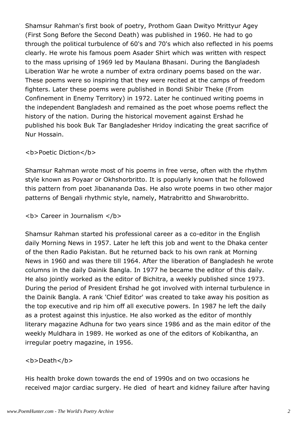Shamsur Rahman's first book of poetry, Prothom Gaan Dwityo Mrittyur Agey (First Song Before the Second Death) was published in 1960. He had to go through the political turbulence of 60's and 70's which also reflected in his poems clearly. He wrote his famous poem Asader Shirt which was written with respect to the mass uprising of 1969 led by Maulana Bhasani. During the Bangladesh Liberation War he wrote a number of extra ordinary poems based on the war. These poems were so inspiring that they were recited at the camps of freedom fighters. Later these poems were published in Bondi Shibir Theke (From Confinement in Enemy Territory) in 1972. Later he continued writing poems in the independent Bangladesh and remained as the poet whose poems reflect the history of the nation. During the historical movement against Ershad he published his book Buk Tar Bangladesher Hridoy indicating the great sacrifice of Nur Hossain.

#### *<u><b>Poetic Diction</b></u>*

Shamsur Rahman wrote most of his poems in free verse, often with the rhythm style known as Poyaar or Okhshorbritto. It is popularly known that he followed this pattern from poet Jibanananda Das. He also wrote poems in two other major patterns of Bengali rhythmic style, namely, Matrabritto and Shwarobritto.

#### <b> Career in Journalism </b>

Shamsur Rahman started his professional career as a co-editor in the English daily Morning News in 1957. Later he left this job and went to the Dhaka center of the then Radio Pakistan. But he returned back to his own rank at Morning News in 1960 and was there till 1964. After the liberation of Bangladesh he wrote columns in the daily Dainik Bangla. In 1977 he became the editor of this daily. He also jointly worked as the editor of Bichitra, a weekly published since 1973. During the period of President Ershad he got involved with internal turbulence in the Dainik Bangla. A rank 'Chief Editor' was created to take away his position as the top executive and rip him off all executive powers. In 1987 he left the daily as a protest against this injustice. He also worked as the editor of monthly literary magazine Adhuna for two years since 1986 and as the main editor of the weekly Muldhara in 1989. He worked as one of the editors of Kobikantha, an irregular poetry magazine, in 1956.

#### <b>Death</b>

His health broke down towards the end of 1990s and on two occasions he received major cardiac surgery. He died of heart and kidney failure after having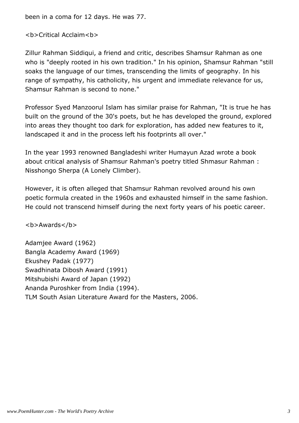been in a coma for 12 days. He was 77.

<b>Critical Acclaim<b>

Zillur Rahman Siddiqui, a friend and critic, describes Shamsur Rahman as one who is "deeply rooted in his own tradition." In his opinion, Shamsur Rahman "still soaks the language of our times, transcending the limits of geography. In his range of sympathy, his catholicity, his urgent and immediate relevance for us, Shamsur Rahman is second to none."

Professor Syed Manzoorul Islam has similar praise for Rahman, "It is true he has built on the ground of the 30's poets, but he has developed the ground, explored into areas they thought too dark for exploration, has added new features to it, landscaped it and in the process left his footprints all over."

In the year 1993 renowned Bangladeshi writer Humayun Azad wrote a book about critical analysis of Shamsur Rahman's poetry titled Shmasur Rahman : Nisshongo Sherpa (A Lonely Climber).

However, it is often alleged that Shamsur Rahman revolved around his own poetic formula created in the 1960s and exhausted himself in the same fashion. He could not transcend himself during the next forty years of his poetic career.

<b>Awards</b>

Adamjee Award (1962) Bangla Academy Award (1969) Ekushey Padak (1977) Swadhinata Dibosh Award (1991) Mitshubishi Award of Japan (1992) Ananda Puroshker from India (1994). TLM South Asian Literature Award for the Masters, 2006.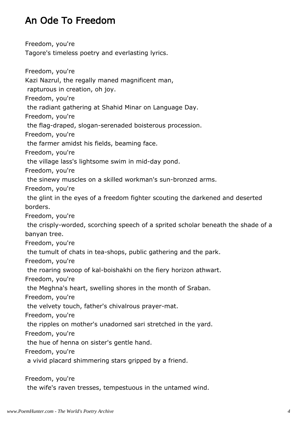# An Ode To Freedom

Freedom, you're Tagore's timeless poetry and everlasting lyrics. Freedom, you're Kazi Nazrul, the regally maned magnificent man, rapturous in creation, oh joy. Freedom, you're the radiant gathering at Shahid Minar on Language Day. Freedom, you're the flag-draped, slogan-serenaded boisterous procession. Freedom, you're the farmer amidst his fields, beaming face. Freedom, you're the village lass's lightsome swim in mid-day pond. Freedom, you're the sinewy muscles on a skilled workman's sun-bronzed arms. Freedom, you're the glint in the eyes of a freedom fighter scouting the darkened and deserted borders. Freedom, you're the crisply-worded, scorching speech of a sprited scholar beneath the shade of a banyan tree. Freedom, you're the tumult of chats in tea-shops, public gathering and the park. Freedom, you're the roaring swoop of kal-boishakhi on the fiery horizon athwart. Freedom, you're the Meghna's heart, swelling shores in the month of Sraban. Freedom, you're the velvety touch, father's chivalrous prayer-mat. Freedom, you're the ripples on mother's unadorned sari stretched in the yard. Freedom, you're the hue of henna on sister's gentle hand. Freedom, you're a vivid placard shimmering stars gripped by a friend.

Freedom, you're the wife's raven tresses, tempestuous in the untamed wind.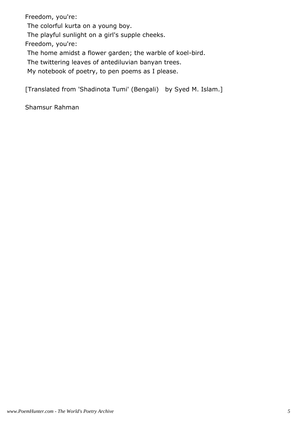Freedom, you're: The colorful kurta on a young boy. The playful sunlight on a girl's supple cheeks. Freedom, you're: The home amidst a flower garden; the warble of koel-bird. The twittering leaves of antediluvian banyan trees. My notebook of poetry, to pen poems as I please.

[Translated from 'Shadinota Tumi' (Bengali) by Syed M. Islam.]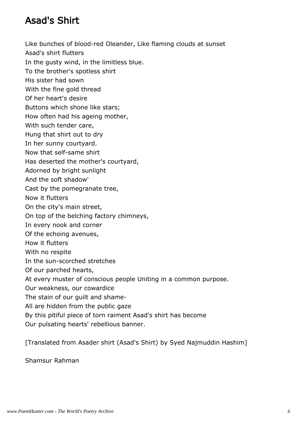# Asad's Shirt

Like bunches of blood-red Oleander, Like flaming clouds at sunset

Asad's shirt flutters

In the gusty wind, in the limitless blue.

To the brother's spotless shirt

His sister had sown

With the fine gold thread

Of her heart's desire

Buttons which shone like stars;

How often had his ageing mother,

With such tender care,

Hung that shirt out to dry

In her sunny courtyard.

Now that self-same shirt

Has deserted the mother's courtyard,

Adorned by bright sunlight

And the soft shadow'

Cast by the pomegranate tree,

Now it flutters

On the city's main street,

On top of the belching factory chimneys,

- In every nook and corner
- Of the echoing avenues,
- How it flutters
- With no respite

In the sun-scorched stretches

Of our parched hearts,

At every muster of conscious people Uniting in a common purpose.

Our weakness, our cowardice

The stain of our guilt and shame-

All are hidden from the public gaze

By this pitiful piece of torn raiment Asad's shirt has become

Our pulsating hearts' rebellious banner.

[Translated from Asader shirt (Asad's Shirt) by Syed Najmuddin Hashim]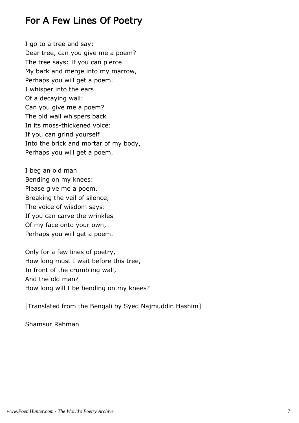## For A Few Lines Of Poetry

I go to a tree and say: Dear tree, can you give me a poem? The tree says: If you can pierce My bark and merge into my marrow, Perhaps you will get a poem. I whisper into the ears Of a decaying wall: Can you give me a poem? The old wall whispers back In its moss-thickened voice: If you can grind yourself Into the brick and mortar of my body, Perhaps you will get a poem.

I beg an old man Bending on my knees: Please give me a poem. Breaking the veil of silence, The voice of wisdom says: If you can carve the wrinkles Of my face onto your own, Perhaps you will get a poem.

Only for a few lines of poetry, How long must I wait before this tree, In front of the crumbling wall, And the old man? How long will I be bending on my knees?

[Translated from the Bengali by Syed Najmuddin Hashim]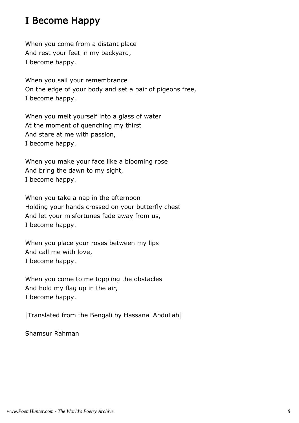# I Become Happy

When you come from a distant place And rest your feet in my backyard, I become happy.

When you sail your remembrance On the edge of your body and set a pair of pigeons free, I become happy.

When you melt yourself into a glass of water At the moment of quenching my thirst And stare at me with passion, I become happy.

When you make your face like a blooming rose And bring the dawn to my sight, I become happy.

When you take a nap in the afternoon Holding your hands crossed on your butterfly chest And let your misfortunes fade away from us, I become happy.

When you place your roses between my lips And call me with love, I become happy.

When you come to me toppling the obstacles And hold my flag up in the air, I become happy.

[Translated from the Bengali by Hassanal Abdullah]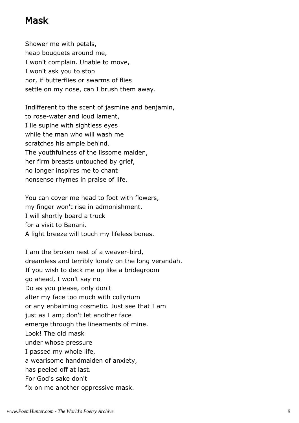### Mask

Shower me with petals, heap bouquets around me, I won't complain. Unable to move, I won't ask you to stop nor, if butterflies or swarms of flies settle on my nose, can I brush them away.

Indifferent to the scent of jasmine and benjamin, to rose-water and loud lament, I lie supine with sightless eyes while the man who will wash me scratches his ample behind. The youthfulness of the lissome maiden, her firm breasts untouched by grief, no longer inspires me to chant nonsense rhymes in praise of life.

You can cover me head to foot with flowers, my finger won't rise in admonishment. I will shortly board a truck for a visit to Banani. A light breeze will touch my lifeless bones.

I am the broken nest of a weaver-bird, dreamless and terribly lonely on the long verandah. If you wish to deck me up like a bridegroom go ahead, I won't say no Do as you please, only don't alter my face too much with collyrium or any enbalming cosmetic. Just see that I am just as I am; don't let another face emerge through the lineaments of mine. Look! The old mask under whose pressure I passed my whole life, a wearisome handmaiden of anxiety, has peeled off at last. For God's sake don't fix on me another oppressive mask.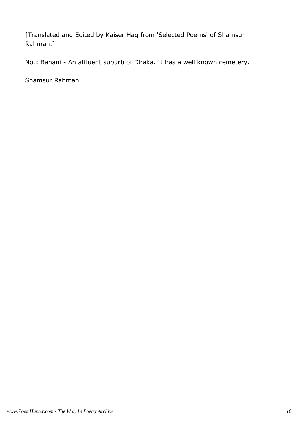[Translated and Edited by Kaiser Haq from 'Selected Poems' of Shamsur Rahman.]

Not: Banani - An affluent suburb of Dhaka. It has a well known cemetery.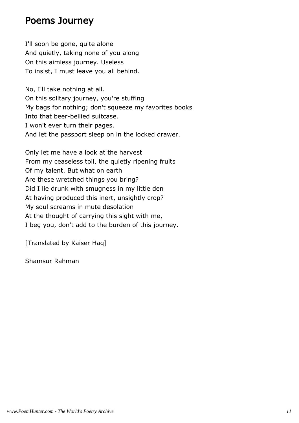## Poems Journey

I'll soon be gone, quite alone And quietly, taking none of you along On this aimless journey. Useless To insist, I must leave you all behind.

No, I'll take nothing at all. On this solitary journey, you're stuffing My bags for nothing; don't squeeze my favorites books Into that beer-bellied suitcase. I won't ever turn their pages. And let the passport sleep on in the locked drawer.

Only let me have a look at the harvest From my ceaseless toil, the quietly ripening fruits Of my talent. But what on earth Are these wretched things you bring? Did I lie drunk with smugness in my little den At having produced this inert, unsightly crop? My soul screams in mute desolation At the thought of carrying this sight with me, I beg you, don't add to the burden of this journey.

[Translated by Kaiser Haq]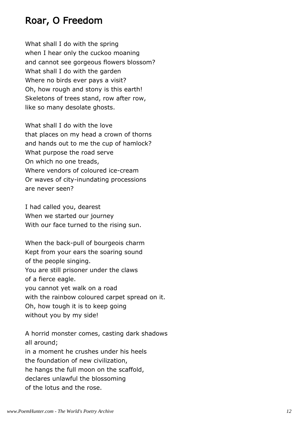## Roar, O Freedom

What shall I do with the spring when I hear only the cuckoo moaning and cannot see gorgeous flowers blossom? What shall I do with the garden Where no birds ever pays a visit? Oh, how rough and stony is this earth! Skeletons of trees stand, row after row, like so many desolate ghosts.

What shall I do with the love that places on my head a crown of thorns and hands out to me the cup of hamlock? What purpose the road serve On which no one treads, Where vendors of coloured ice-cream Or waves of city-inundating processions are never seen?

I had called you, dearest When we started our journey With our face turned to the rising sun.

When the back-pull of bourgeois charm Kept from your ears the soaring sound of the people singing. You are still prisoner under the claws of a fierce eagle. you cannot yet walk on a road with the rainbow coloured carpet spread on it. Oh, how tough it is to keep going without you by my side!

A horrid monster comes, casting dark shadows all around; in a moment he crushes under his heels the foundation of new civilization, he hangs the full moon on the scaffold, declares unlawful the blossoming of the lotus and the rose.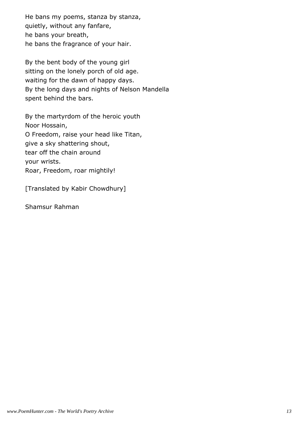He bans my poems, stanza by stanza, quietly, without any fanfare, he bans your breath, he bans the fragrance of your hair.

By the bent body of the young girl sitting on the lonely porch of old age. waiting for the dawn of happy days. By the long days and nights of Nelson Mandella spent behind the bars.

By the martyrdom of the heroic youth Noor Hossain, O Freedom, raise your head like Titan, give a sky shattering shout, tear off the chain around your wrists. Roar, Freedom, roar mightily!

[Translated by Kabir Chowdhury]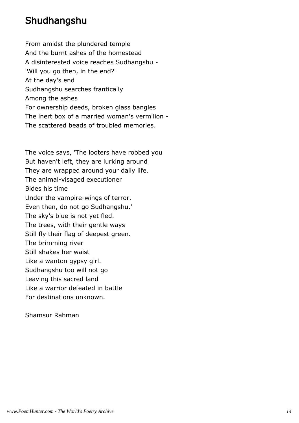# Shudhangshu

From amidst the plundered temple And the burnt ashes of the homestead A disinterested voice reaches Sudhangshu - 'Will you go then, in the end?' At the day's end Sudhangshu searches frantically Among the ashes For ownership deeds, broken glass bangles The inert box of a married woman's vermilion - The scattered beads of troubled memories.

The voice says, 'The looters have robbed you But haven't left, they are lurking around They are wrapped around your daily life. The animal-visaged executioner Bides his time Under the vampire-wings of terror. Even then, do not go Sudhangshu.' The sky's blue is not yet fled. The trees, with their gentle ways Still fly their flag of deepest green. The brimming river Still shakes her waist Like a wanton gypsy girl. Sudhangshu too will not go Leaving this sacred land Like a warrior defeated in battle For destinations unknown.